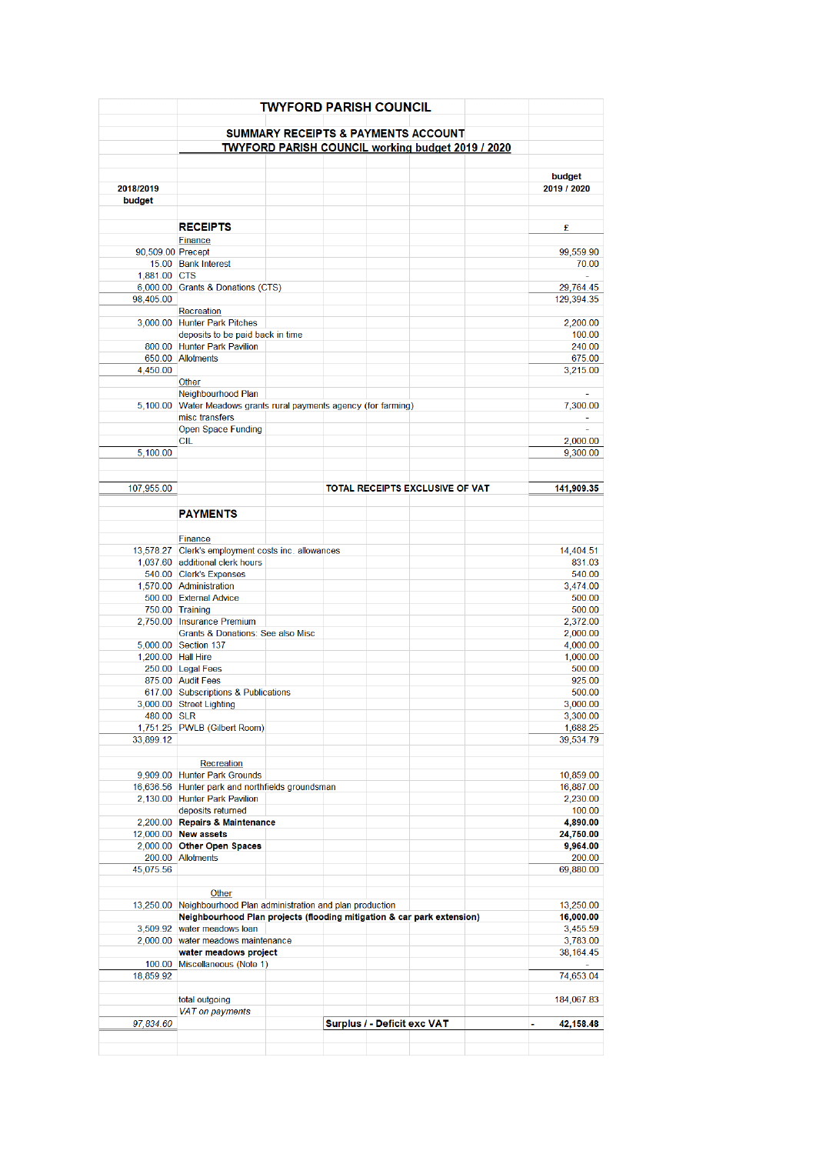|                    | <b>TWYFORD PARISH COUNCIL</b>                                          |                                                          |  |                             |                                 |  |                       |  |
|--------------------|------------------------------------------------------------------------|----------------------------------------------------------|--|-----------------------------|---------------------------------|--|-----------------------|--|
|                    |                                                                        | <b>SUMMARY RECEIPTS &amp; PAYMENTS ACCOUNT</b>           |  |                             |                                 |  |                       |  |
|                    |                                                                        | <b>TWYFORD PARISH COUNCIL working budget 2019 / 2020</b> |  |                             |                                 |  |                       |  |
|                    |                                                                        |                                                          |  |                             |                                 |  |                       |  |
| 2018/2019          |                                                                        |                                                          |  |                             |                                 |  | budget<br>2019 / 2020 |  |
| budget             |                                                                        |                                                          |  |                             |                                 |  |                       |  |
|                    | <b>RECEIPTS</b>                                                        |                                                          |  |                             |                                 |  | £                     |  |
|                    | Finance                                                                |                                                          |  |                             |                                 |  |                       |  |
| 90,509.00 Precept  |                                                                        |                                                          |  |                             |                                 |  | 99,559.90             |  |
|                    | 15.00 Bank Interest                                                    |                                                          |  |                             |                                 |  | 70.00                 |  |
| 1,881.00 CTS       |                                                                        |                                                          |  |                             |                                 |  |                       |  |
| 98,405.00          | 6,000.00 Grants & Donations (CTS)                                      |                                                          |  |                             |                                 |  | 29,764.45             |  |
|                    | Recreation                                                             |                                                          |  |                             |                                 |  | 129,394.35            |  |
|                    | 3,000.00 Hunter Park Pitches                                           |                                                          |  |                             |                                 |  | 2,200.00              |  |
|                    | deposits to be paid back in time                                       |                                                          |  |                             |                                 |  | 100.00                |  |
|                    | 800.00 Hunter Park Pavilion                                            |                                                          |  |                             |                                 |  | 240.00                |  |
|                    | 650.00 Allotments                                                      |                                                          |  |                             |                                 |  | 675.00                |  |
| 4,450.00           |                                                                        |                                                          |  |                             |                                 |  | 3,215.00              |  |
|                    | Other                                                                  |                                                          |  |                             |                                 |  |                       |  |
|                    | Neighbourhood Plan                                                     |                                                          |  |                             |                                 |  |                       |  |
|                    | 5,100.00 Water Meadows grants rural payments agency (for farming)      |                                                          |  |                             |                                 |  | 7,300.00              |  |
|                    | misc transfers<br><b>Open Space Funding</b>                            |                                                          |  |                             |                                 |  |                       |  |
|                    | CIL                                                                    |                                                          |  |                             |                                 |  | 2,000.00              |  |
| 5,100.00           |                                                                        |                                                          |  |                             |                                 |  | 9,300.00              |  |
|                    |                                                                        |                                                          |  |                             |                                 |  |                       |  |
| 107,955.00         |                                                                        |                                                          |  |                             | TOTAL RECEIPTS EXCLUSIVE OF VAT |  | 141,909.35            |  |
|                    |                                                                        |                                                          |  |                             |                                 |  |                       |  |
|                    | <b>PAYMENTS</b>                                                        |                                                          |  |                             |                                 |  |                       |  |
|                    | Finance                                                                |                                                          |  |                             |                                 |  |                       |  |
|                    | 13,578.27 Clerk's employment costs inc. allowances                     |                                                          |  |                             |                                 |  | 14,404.51             |  |
|                    | 1,037.60 additional clerk hours                                        |                                                          |  |                             |                                 |  | 831.03                |  |
|                    | 540.00 Clerk's Expenses                                                |                                                          |  |                             |                                 |  | 540.00                |  |
|                    | 1,570.00 Administration<br>500.00 External Advice                      |                                                          |  |                             |                                 |  | 3,474.00<br>500.00    |  |
|                    | 750.00 Training                                                        |                                                          |  |                             |                                 |  | 500.00                |  |
|                    | 2,750.00 Insurance Premium                                             |                                                          |  |                             |                                 |  | 2,372.00              |  |
|                    | Grants & Donations: See also Misc                                      |                                                          |  |                             |                                 |  | 2,000.00              |  |
|                    | 5.000.00 Section 137                                                   |                                                          |  |                             |                                 |  | 4,000.00              |  |
| 1,200.00 Hall Hire |                                                                        |                                                          |  |                             |                                 |  | 1,000.00              |  |
|                    | 250.00 Legal Fees                                                      |                                                          |  |                             |                                 |  | 500.00                |  |
|                    | 875.00 Audit Fees                                                      |                                                          |  |                             |                                 |  | 925.00                |  |
|                    | 617.00 Subscriptions & Publications                                    |                                                          |  |                             |                                 |  | 500.00                |  |
| 480.00 SLR         | 3,000.00 Street Lighting                                               |                                                          |  |                             |                                 |  | 3,000.00              |  |
|                    | 1,751.25 PWLB (Gilbert Room)                                           |                                                          |  |                             |                                 |  | 3,300.00<br>1,688.25  |  |
| 33,899.12          |                                                                        |                                                          |  |                             |                                 |  | 39,534.79             |  |
|                    |                                                                        |                                                          |  |                             |                                 |  |                       |  |
|                    | Recreation                                                             |                                                          |  |                             |                                 |  |                       |  |
|                    | 9,909.00 Hunter Park Grounds                                           |                                                          |  |                             |                                 |  | 10,859.00             |  |
|                    | 16,636.56 Hunter park and northfields groundsman                       |                                                          |  |                             |                                 |  | 16,887.00             |  |
|                    | 2,130.00 Hunter Park Pavilion                                          |                                                          |  |                             |                                 |  | 2,230.00              |  |
|                    | deposits returned<br>2,200.00 Repairs & Maintenance                    |                                                          |  |                             |                                 |  | 100.00<br>4,890.00    |  |
|                    | 12,000.00 New assets                                                   |                                                          |  |                             |                                 |  | 24,750.00             |  |
|                    | 2,000.00 Other Open Spaces                                             |                                                          |  |                             |                                 |  | 9,964.00              |  |
|                    | 200.00 Allotments                                                      |                                                          |  |                             |                                 |  | 200.00                |  |
| 45,075.56          |                                                                        |                                                          |  |                             |                                 |  | 69,880.00             |  |
|                    | Other                                                                  |                                                          |  |                             |                                 |  |                       |  |
|                    | 13,250.00 Neighbourhood Plan administration and plan production        |                                                          |  |                             |                                 |  | 13,250.00             |  |
|                    | Neighbourhood Plan projects (flooding mitigation & car park extension) |                                                          |  |                             |                                 |  | 16,000.00             |  |
|                    | 3,509.92 water meadows loan                                            |                                                          |  |                             |                                 |  | 3,455.59              |  |
|                    | 2,000.00 water meadows maintenance                                     |                                                          |  |                             |                                 |  | 3,783.00              |  |
|                    | water meadows project                                                  |                                                          |  |                             |                                 |  | 38,164.45             |  |
| 18,859.92          | 100.00 Miscellaneous (Note 1)                                          |                                                          |  |                             |                                 |  | 74,653.04             |  |
|                    |                                                                        |                                                          |  |                             |                                 |  |                       |  |
|                    | total outgoing                                                         |                                                          |  |                             |                                 |  | 184,067.83            |  |
|                    | VAT on payments                                                        |                                                          |  |                             |                                 |  |                       |  |
| 97,834.60          |                                                                        |                                                          |  | Surplus / - Deficit exc VAT |                                 |  | 42,158.48<br>۰        |  |
|                    |                                                                        |                                                          |  |                             |                                 |  |                       |  |
|                    |                                                                        |                                                          |  |                             |                                 |  |                       |  |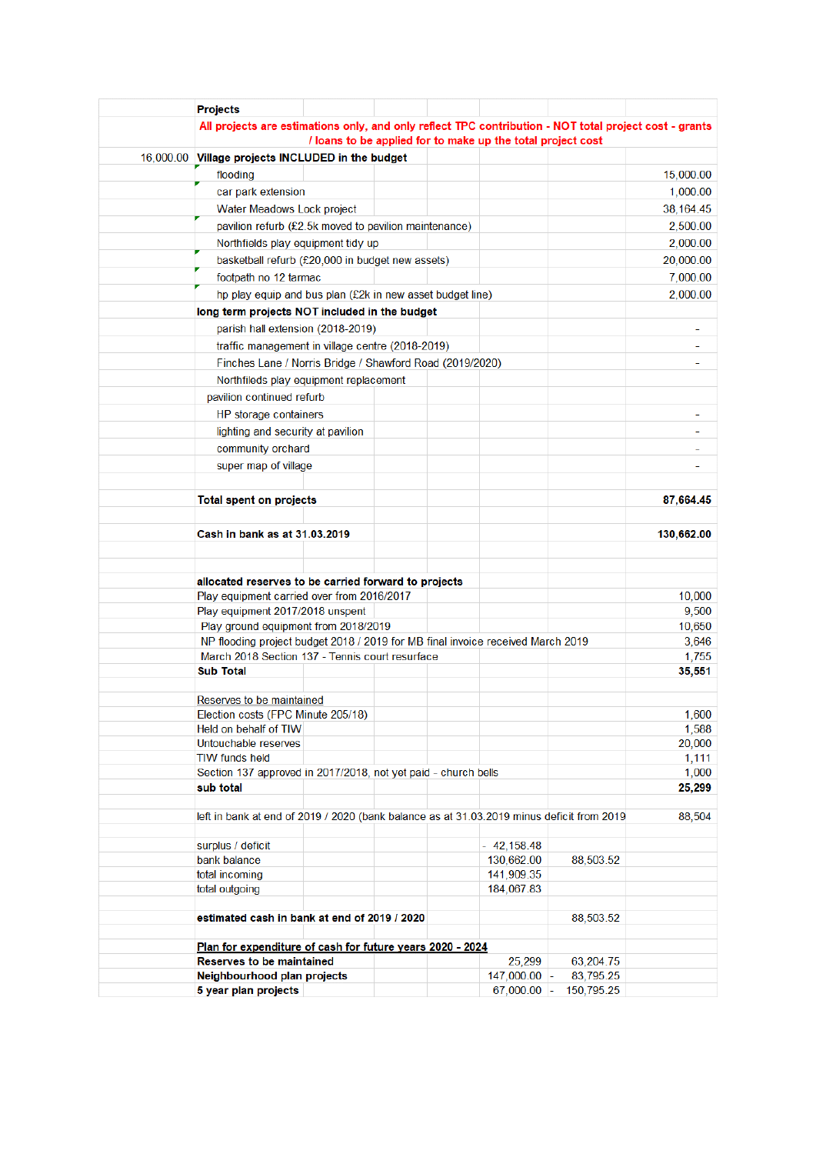|  | <b>Projects</b>                                                                                        |        |  |                                                             |                        |                      |  |  |  |  |
|--|--------------------------------------------------------------------------------------------------------|--------|--|-------------------------------------------------------------|------------------------|----------------------|--|--|--|--|
|  | All projects are estimations only, and only reflect TPC contribution - NOT total project cost - grants |        |  |                                                             |                        |                      |  |  |  |  |
|  |                                                                                                        |        |  | / loans to be applied for to make up the total project cost |                        |                      |  |  |  |  |
|  | 16,000.00 Village projects INCLUDED in the budget                                                      |        |  |                                                             |                        |                      |  |  |  |  |
|  | flooding                                                                                               |        |  |                                                             |                        | 15,000.00            |  |  |  |  |
|  | car park extension                                                                                     |        |  |                                                             |                        | 1,000.00             |  |  |  |  |
|  | Water Meadows Lock project                                                                             |        |  |                                                             |                        | 38,164.45            |  |  |  |  |
|  | pavilion refurb (£2.5k moved to pavilion maintenance)                                                  |        |  |                                                             |                        |                      |  |  |  |  |
|  | Northfields play equipment tidy up                                                                     |        |  |                                                             |                        |                      |  |  |  |  |
|  | basketball refurb (£20,000 in budget new assets)                                                       |        |  |                                                             |                        |                      |  |  |  |  |
|  | footpath no 12 tarmac                                                                                  |        |  |                                                             |                        |                      |  |  |  |  |
|  | hp play equip and bus plan (£2k in new asset budget line)                                              |        |  |                                                             |                        | 7,000.00<br>2,000.00 |  |  |  |  |
|  | long term projects NOT included in the budget                                                          |        |  |                                                             |                        |                      |  |  |  |  |
|  | parish hall extension (2018-2019)                                                                      |        |  |                                                             |                        |                      |  |  |  |  |
|  |                                                                                                        |        |  |                                                             |                        |                      |  |  |  |  |
|  | traffic management in village centre (2018-2019)                                                       |        |  |                                                             |                        |                      |  |  |  |  |
|  | Finches Lane / Norris Bridge / Shawford Road (2019/2020)                                               |        |  |                                                             |                        |                      |  |  |  |  |
|  | Northfileds play equipment replacement                                                                 |        |  |                                                             |                        |                      |  |  |  |  |
|  | pavilion continued refurb                                                                              |        |  |                                                             |                        |                      |  |  |  |  |
|  | HP storage containers                                                                                  |        |  |                                                             |                        |                      |  |  |  |  |
|  | lighting and security at pavilion                                                                      |        |  |                                                             |                        |                      |  |  |  |  |
|  | community orchard                                                                                      |        |  |                                                             |                        |                      |  |  |  |  |
|  | super map of village                                                                                   |        |  |                                                             |                        |                      |  |  |  |  |
|  | <b>Total spent on projects</b>                                                                         |        |  |                                                             |                        |                      |  |  |  |  |
|  | Cash in bank as at 31.03.2019                                                                          |        |  |                                                             |                        |                      |  |  |  |  |
|  |                                                                                                        |        |  |                                                             |                        | 130,662.00           |  |  |  |  |
|  |                                                                                                        |        |  |                                                             |                        |                      |  |  |  |  |
|  | allocated reserves to be carried forward to projects<br>Play equipment carried over from 2016/2017     |        |  |                                                             |                        |                      |  |  |  |  |
|  | Play equipment 2017/2018 unspent                                                                       |        |  |                                                             |                        | 10,000<br>9,500      |  |  |  |  |
|  | Play ground equipment from 2018/2019                                                                   |        |  |                                                             |                        | 10,650               |  |  |  |  |
|  | NP flooding project budget 2018 / 2019 for MB final invoice received March 2019                        |        |  |                                                             |                        |                      |  |  |  |  |
|  | March 2018 Section 137 - Tennis court resurface                                                        |        |  |                                                             |                        |                      |  |  |  |  |
|  | <b>Sub Total</b>                                                                                       |        |  |                                                             |                        | 35,551               |  |  |  |  |
|  | Reserves to be maintained                                                                              |        |  |                                                             |                        |                      |  |  |  |  |
|  | Election costs (FPC Minute 205/18)                                                                     |        |  |                                                             |                        |                      |  |  |  |  |
|  | Held on behalf of TIW                                                                                  |        |  |                                                             |                        | 1,588                |  |  |  |  |
|  | Untouchable reserves                                                                                   |        |  |                                                             |                        | 20,000               |  |  |  |  |
|  | <b>TIW funds held</b>                                                                                  |        |  |                                                             |                        | 1,111                |  |  |  |  |
|  | Section 137 approved in 2017/2018, not yet paid - church bells<br>sub total                            |        |  |                                                             |                        | 1,000<br>25,299      |  |  |  |  |
|  |                                                                                                        |        |  |                                                             |                        |                      |  |  |  |  |
|  | left in bank at end of 2019 / 2020 (bank balance as at 31.03.2019 minus deficit from 2019              | 88,504 |  |                                                             |                        |                      |  |  |  |  |
|  | surplus / deficit                                                                                      |        |  | $-42,158.48$                                                |                        |                      |  |  |  |  |
|  | bank balance                                                                                           |        |  | 130,662.00                                                  | 88,503.52              |                      |  |  |  |  |
|  | total incoming                                                                                         |        |  | 141,909.35                                                  |                        |                      |  |  |  |  |
|  | total outgoing                                                                                         |        |  | 184,067.83                                                  |                        |                      |  |  |  |  |
|  | estimated cash in bank at end of 2019 / 2020                                                           |        |  |                                                             | 88,503.52              |                      |  |  |  |  |
|  |                                                                                                        |        |  |                                                             |                        |                      |  |  |  |  |
|  | Plan for expenditure of cash for future years 2020 - 2024                                              |        |  |                                                             |                        |                      |  |  |  |  |
|  | <b>Reserves to be maintained</b><br>Neighbourhood plan projects                                        |        |  | 25,299<br>$147,000.00$ -                                    | 63,204.75<br>83,795.25 |                      |  |  |  |  |
|  | 5 year plan projects                                                                                   |        |  | $67,000.00$ -                                               | 150,795.25             |                      |  |  |  |  |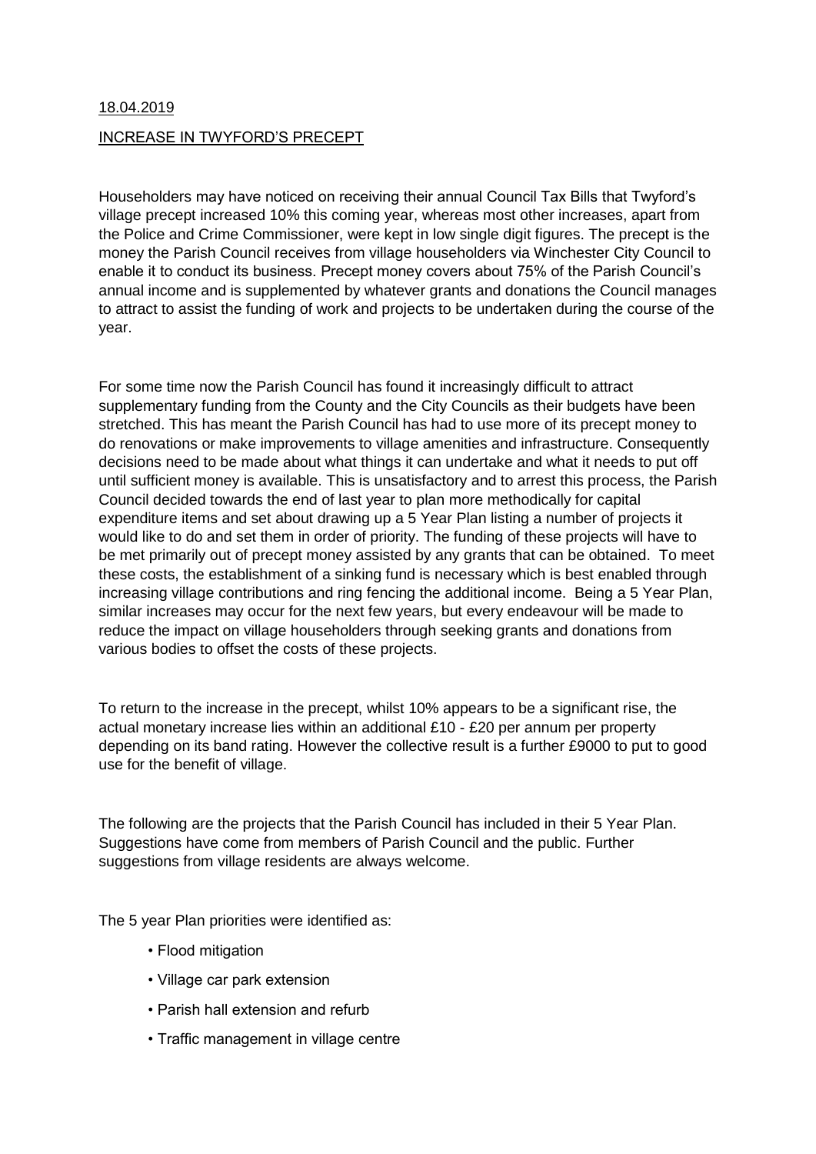## 18.04.2019 INCREASE IN TWYFORD'S PRECEPT

Householders may have noticed on receiving their annual Council Tax Bills that Twyford's village precept increased 10% this coming year, whereas most other increases, apart from the Police and Crime Commissioner, were kept in low single digit figures. The precept is the money the Parish Council receives from village householders via Winchester City Council to enable it to conduct its business. Precept money covers about 75% of the Parish Council's annual income and is supplemented by whatever grants and donations the Council manages to attract to assist the funding of work and projects to be undertaken during the course of the year.

For some time now the Parish Council has found it increasingly difficult to attract supplementary funding from the County and the City Councils as their budgets have been stretched. This has meant the Parish Council has had to use more of its precept money to do renovations or make improvements to village amenities and infrastructure. Consequently decisions need to be made about what things it can undertake and what it needs to put off until sufficient money is available. This is unsatisfactory and to arrest this process, the Parish Council decided towards the end of last year to plan more methodically for capital expenditure items and set about drawing up a 5 Year Plan listing a number of projects it would like to do and set them in order of priority. The funding of these projects will have to be met primarily out of precept money assisted by any grants that can be obtained. To meet these costs, the establishment of a sinking fund is necessary which is best enabled through increasing village contributions and ring fencing the additional income. Being a 5 Year Plan, similar increases may occur for the next few years, but every endeavour will be made to reduce the impact on village householders through seeking grants and donations from various bodies to offset the costs of these projects.

To return to the increase in the precept, whilst 10% appears to be a significant rise, the actual monetary increase lies within an additional £10 - £20 per annum per property depending on its band rating. However the collective result is a further £9000 to put to good use for the benefit of village.

The following are the projects that the Parish Council has included in their 5 Year Plan. Suggestions have come from members of Parish Council and the public. Further suggestions from village residents are always welcome.

The 5 year Plan priorities were identified as:

- Flood mitigation
- Village car park extension
- Parish hall extension and refurb
- Traffic management in village centre